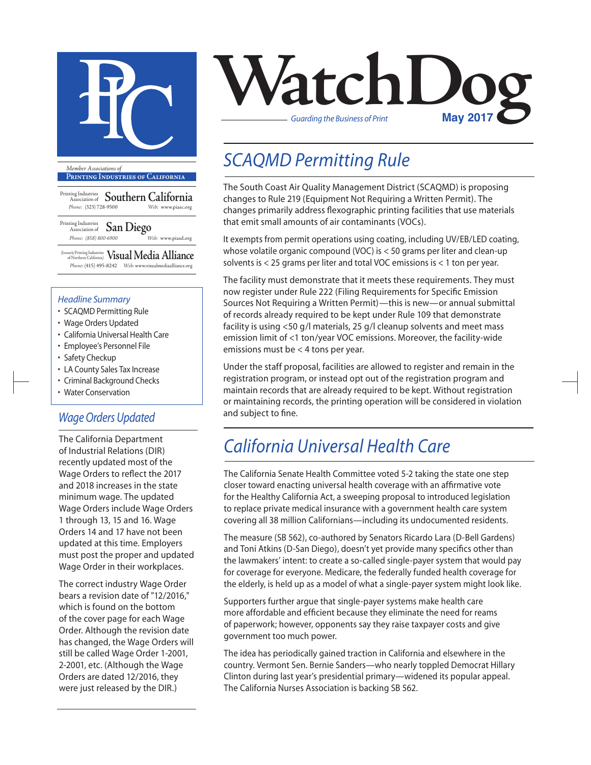

**Printing Industries of California**

Printing Industries Association of **Southern California** *Phone:* (323) 728-9500 *Web:* www.piasc.org

Printing Industries Association of **San Diego** *Phone: (858) 800-6900 Web:* www.piasd.org

(formerly Printing Industries of Northern California) **Visual Media Alliance** *Phone:* (415) 495-8242 *Web:* www.visualmediaalliance.org

#### *Headline Summary*

- SCAQMD Permitting Rule
- Wage Orders Updated
- California Universal Health Care
- Employee's Personnel File
- Safety Checkup
- LA County Sales Tax Increase
- Criminal Background Checks
- Water Conservation

### *Wage Orders Updated*

The California Department of Industrial Relations (DIR) recently updated most of the Wage Orders to reflect the 2017 and 2018 increases in the state minimum wage. The updated Wage Orders include Wage Orders 1 through 13, 15 and 16. Wage Orders 14 and 17 have not been updated at this time. Employers must post the proper and updated Wage Order in their workplaces.

The correct industry Wage Order bears a revision date of "12/2016," which is found on the bottom of the cover page for each Wage Order. Although the revision date has changed, the Wage Orders will still be called Wage Order 1-2001, 2-2001, etc. (Although the Wage Orders are dated 12/2016, they were just released by the DIR.)



## *SCAQMD Permitting Rule*

The South Coast Air Quality Management District (SCAQMD) is proposing changes to Rule 219 (Equipment Not Requiring a Written Permit). The changes primarily address flexographic printing facilities that use materials that emit small amounts of air contaminants (VOCs).

It exempts from permit operations using coating, including UV/EB/LED coating, whose volatile organic compound (VOC) is < 50 grams per liter and clean-up solvents is < 25 grams per liter and total VOC emissions is < 1 ton per year.

The facility must demonstrate that it meets these requirements. They must now register under Rule 222 (Filing Requirements for Specific Emission Sources Not Requiring a Written Permit)—this is new—or annual submittal of records already required to be kept under Rule 109 that demonstrate facility is using <50 g/l materials, 25 g/l cleanup solvents and meet mass emission limit of <1 ton/year VOC emissions. Moreover, the facility-wide emissions must be < 4 tons per year.

Under the staff proposal, facilities are allowed to register and remain in the registration program, or instead opt out of the registration program and maintain records that are already required to be kept. Without registration or maintaining records, the printing operation will be considered in violation and subject to fine.

## *California Universal Health Care*

The California Senate Health Committee voted 5-2 taking the state one step closer toward enacting universal health coverage with an affirmative vote for the Healthy California Act, a sweeping proposal to introduced legislation to replace private medical insurance with a government health care system covering all 38 million Californians—including its undocumented residents.

The measure (SB 562), co-authored by Senators Ricardo Lara (D-Bell Gardens) and Toni Atkins (D-San Diego), doesn't yet provide many specifics other than the lawmakers' intent: to create a so-called single-payer system that would pay for coverage for everyone. Medicare, the federally funded health coverage for the elderly, is held up as a model of what a single-payer system might look like.

Supporters further argue that single-payer systems make health care more affordable and efficient because they eliminate the need for reams of paperwork; however, opponents say they raise taxpayer costs and give government too much power.

The idea has periodically gained traction in California and elsewhere in the country. Vermont Sen. Bernie Sanders—who nearly toppled Democrat Hillary Clinton during last year's presidential primary—widened its popular appeal. The California Nurses Association is backing SB 562.